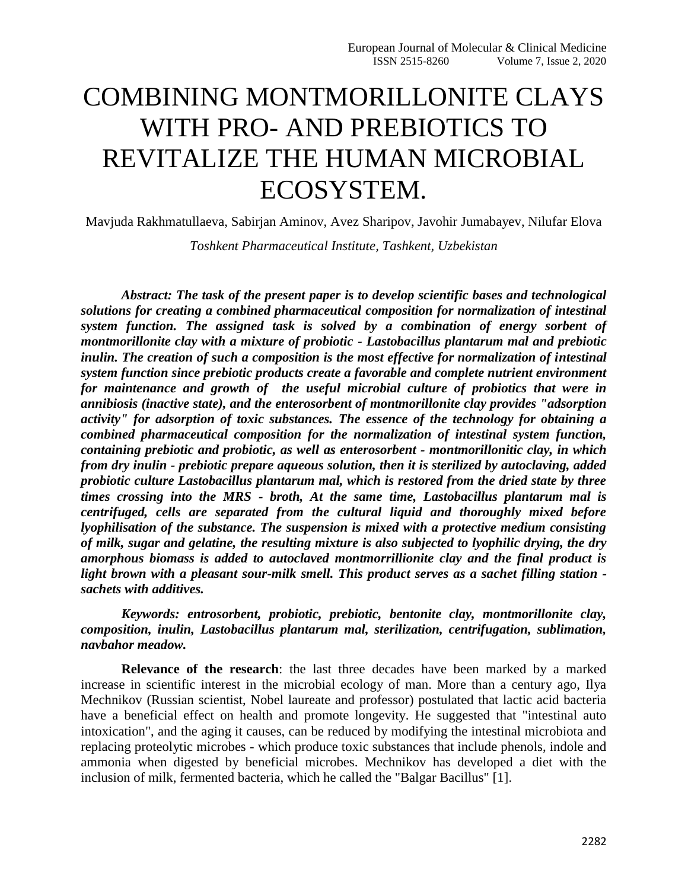# COMBINING MONTMORILLONITE CLAYS WITH PRO- AND PREBIOTICS TO REVITALIZE THE HUMAN MICROBIAL ECOSYSTEM.

Mavjuda Rakhmatullaeva, Sabirjan Aminov, Avez Sharipov, Javohir Jumabayev, Nilufar Elova

*Toshkent Pharmaceutical Institute, Tashkent, Uzbekistan*

*Abstract: The task of the present paper is to develop scientific bases and technological solutions for creating a combined pharmaceutical composition for normalization of intestinal system function. The assigned task is solved by a combination of energy sorbent of montmorillonite clay with a mixture of probiotic - Lastobacillus plantarum mal and prebiotic inulin. The creation of such a composition is the most effective for normalization of intestinal system function since prebiotic products create a favorable and complete nutrient environment for maintenance and growth of the useful microbial culture of probiotics that were in annibiosis (inactive state), and the enterosorbent of montmorillonite clay provides "adsorption activity" for adsorption of toxic substances. The essence of the technology for obtaining a combined pharmaceutical composition for the normalization of intestinal system function, containing prebiotic and probiotic, as well as enterosorbent - montmorillonitic clay, in which from dry inulin - prebiotic prepare aqueous solution, then it is sterilized by autoclaving, added probiotic culture Lastobacillus plantarum mal, which is restored from the dried state by three times crossing into the MRS - broth, At the same time, Lastobacillus plantarum mal is centrifuged, cells are separated from the cultural liquid and thoroughly mixed before lyophilisation of the substance. The suspension is mixed with a protective medium consisting of milk, sugar and gelatine, the resulting mixture is also subjected to lyophilic drying, the dry amorphous biomass is added to autoclaved montmorrillionite clay and the final product is light brown with a pleasant sour-milk smell. This product serves as a sachet filling station sachets with additives.*

*Keywords: entrosorbent, probiotic, prebiotic, bentonite clay, montmorillonite clay, composition, inulin, Lastobacillus plantarum mal, sterilization, centrifugation, sublimation, navbahor meadow.*

**Relevance of the research**: the last three decades have been marked by a marked increase in scientific interest in the microbial ecology of man. More than a century ago, Ilya Mechnikov (Russian scientist, Nobel laureate and professor) postulated that lactic acid bacteria have a beneficial effect on health and promote longevity. He suggested that "intestinal auto intoxication", and the aging it causes, can be reduced by modifying the intestinal microbiota and replacing proteolytic microbes - which produce toxic substances that include phenols, indole and ammonia when digested by beneficial microbes. Mechnikov has developed a diet with the inclusion of milk, fermented bacteria, which he called the "Balgar Bacillus" [1].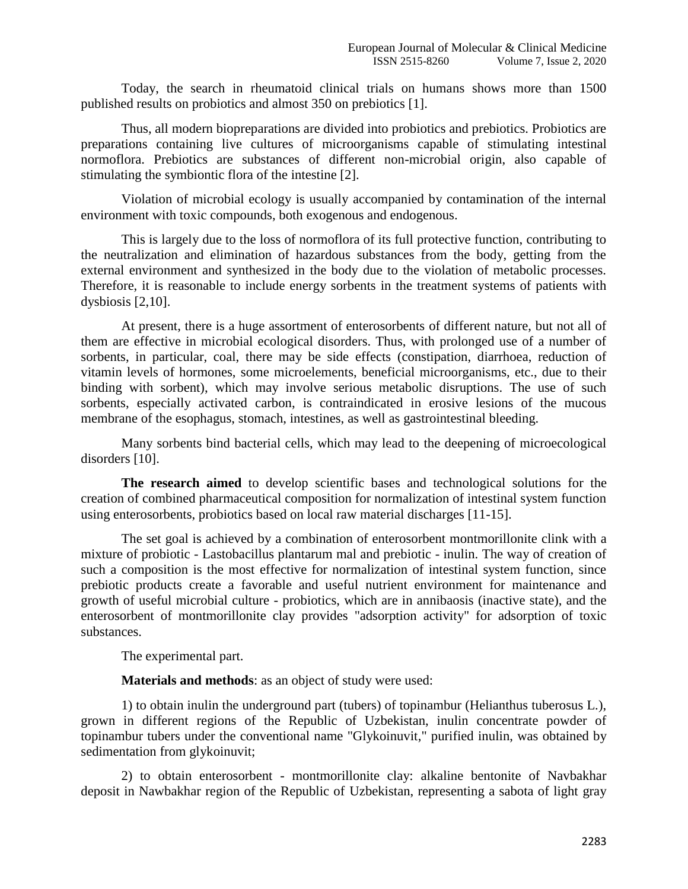Today, the search in rheumatoid clinical trials on humans shows more than 1500 published results on probiotics and almost 350 on prebiotics [1].

Thus, all modern biopreparations are divided into probiotics and prebiotics. Probiotics are preparations containing live cultures of microorganisms capable of stimulating intestinal normoflora. Prebiotics are substances of different non-microbial origin, also capable of stimulating the symbiontic flora of the intestine [2].

Violation of microbial ecology is usually accompanied by contamination of the internal environment with toxic compounds, both exogenous and endogenous.

This is largely due to the loss of normoflora of its full protective function, contributing to the neutralization and elimination of hazardous substances from the body, getting from the external environment and synthesized in the body due to the violation of metabolic processes. Therefore, it is reasonable to include energy sorbents in the treatment systems of patients with dysbiosis [2,10].

At present, there is a huge assortment of enterosorbents of different nature, but not all of them are effective in microbial ecological disorders. Thus, with prolonged use of a number of sorbents, in particular, coal, there may be side effects (constipation, diarrhoea, reduction of vitamin levels of hormones, some microelements, beneficial microorganisms, etc., due to their binding with sorbent), which may involve serious metabolic disruptions. The use of such sorbents, especially activated carbon, is contraindicated in erosive lesions of the mucous membrane of the esophagus, stomach, intestines, as well as gastrointestinal bleeding.

Many sorbents bind bacterial cells, which may lead to the deepening of microecological disorders [10].

**The research aimed** to develop scientific bases and technological solutions for the creation of combined pharmaceutical composition for normalization of intestinal system function using enterosorbents, probiotics based on local raw material discharges [11-15].

The set goal is achieved by a combination of enterosorbent montmorillonite clink with a mixture of probiotic - Lastobacillus plantarum mal and prebiotic - inulin. The way of creation of such a composition is the most effective for normalization of intestinal system function, since prebiotic products create a favorable and useful nutrient environment for maintenance and growth of useful microbial culture - probiotics, which are in annibaosis (inactive state), and the enterosorbent of montmorillonite clay provides "adsorption activity" for adsorption of toxic substances.

The experimental part.

**Materials and methods**: as an object of study were used:

1) to obtain inulin the underground part (tubers) of topinambur (Helianthus tuberosus L.), grown in different regions of the Republic of Uzbekistan, inulin concentrate powder of topinambur tubers under the conventional name "Glykoinuvit," purified inulin, was obtained by sedimentation from glykoinuvit;

2) to obtain enterosorbent - montmorillonite clay: alkaline bentonite of Navbakhar deposit in Nawbakhar region of the Republic of Uzbekistan, representing a sabota of light gray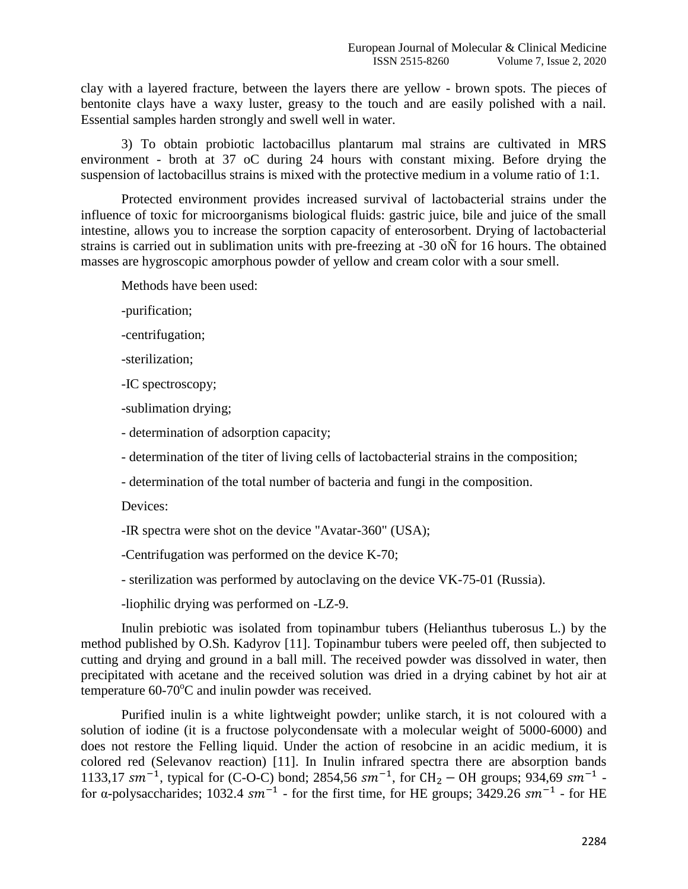clay with a layered fracture, between the layers there are yellow - brown spots. The pieces of bentonite clays have a waxy luster, greasy to the touch and are easily polished with a nail. Essential samples harden strongly and swell well in water.

3) To obtain probiotic lactobacillus plantarum mal strains are cultivated in MRS environment - broth at 37 oC during 24 hours with constant mixing. Before drying the suspension of lactobacillus strains is mixed with the protective medium in a volume ratio of 1:1.

Protected environment provides increased survival of lactobacterial strains under the influence of toxic for microorganisms biological fluids: gastric juice, bile and juice of the small intestine, allows you to increase the sorption capacity of enterosorbent. Drying of lactobacterial strains is carried out in sublimation units with pre-freezing at -30 oÑ for 16 hours. The obtained masses are hygroscopic amorphous powder of yellow and cream color with a sour smell.

Methods have been used:

-purification;

-centrifugation;

-sterilization;

-IC spectroscopy;

-sublimation drying;

- determination of adsorption capacity;

- determination of the titer of living cells of lactobacterial strains in the composition;

- determination of the total number of bacteria and fungi in the composition.

Devices:

-IR spectra were shot on the device "Avatar-360" (USA);

-Centrifugation was performed on the device K-70;

- sterilization was performed by autoclaving on the device VK-75-01 (Russia).

-liophilic drying was performed on -LZ-9.

Inulin prebiotic was isolated from topinambur tubers (Helianthus tuberosus L.) by the method published by O.Sh. Kadyrov [11]. Topinambur tubers were peeled off, then subjected to cutting and drying and ground in a ball mill. The received powder was dissolved in water, then precipitated with acetane and the received solution was dried in a drying cabinet by hot air at temperature  $60-70^{\circ}$ C and inulin powder was received.

Purified inulin is a white lightweight powder; unlike starch, it is not coloured with a solution of iodine (it is a fructose polycondensate with a molecular weight of 5000-6000) and does not restore the Felling liquid. Under the action of resobcine in an acidic medium, it is colored red (Selevanov reaction) [11]. In Inulin infrared spectra there are absorption bands 1133,17  $\text{sm}^{-1}$ , typical for (C-O-C) bond; 2854,56  $\text{sm}^{-1}$ , for CH<sub>2</sub> – OH groups; 934,69  $\text{sm}^{-1}$  for α-polysaccharides; 1032.4  $sm^{-1}$  - for the first time, for HE groups; 3429.26  $sm^{-1}$  - for HE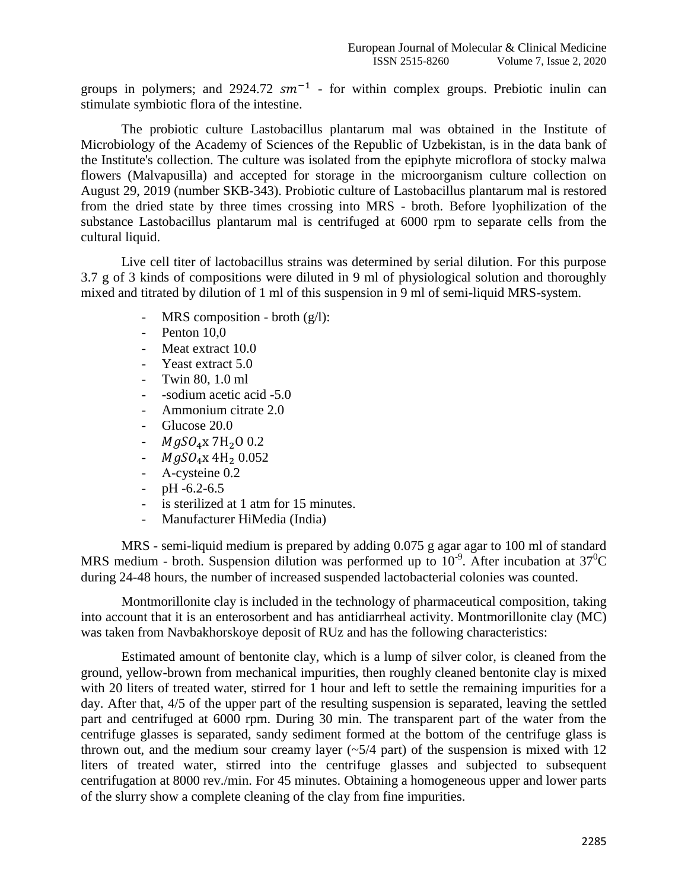groups in polymers; and 2924.72  $sm^{-1}$  - for within complex groups. Prebiotic inulin can stimulate symbiotic flora of the intestine.

The probiotic culture Lastobacillus plantarum mal was obtained in the Institute of Microbiology of the Academy of Sciences of the Republic of Uzbekistan, is in the data bank of the Institute's collection. The culture was isolated from the epiphyte microflora of stocky malwa flowers (Malvapusilla) and accepted for storage in the microorganism culture collection on August 29, 2019 (number SKB-343). Probiotic culture of Lastobacillus plantarum mal is restored from the dried state by three times crossing into MRS - broth. Before lyophilization of the substance Lastobacillus plantarum mal is centrifuged at 6000 rpm to separate cells from the cultural liquid.

Live cell titer of lactobacillus strains was determined by serial dilution. For this purpose 3.7 g of 3 kinds of compositions were diluted in 9 ml of physiological solution and thoroughly mixed and titrated by dilution of 1 ml of this suspension in 9 ml of semi-liquid MRS-system.

- MRS composition broth (g/l):
- Penton 10,0
- Meat extract 10.0
- Yeast extract 5.0
- Twin 80, 1.0 ml
- -sodium acetic acid -5.0
- Ammonium citrate 2.0
- Glucose 20.0
- $MgSO_4x$  7H<sub>2</sub>O 0.2
- $MgSO_4x 4H_2 0.052$
- A-cysteine  $0.2$
- $-$  pH  $-6.2-6.5$
- is sterilized at 1 atm for 15 minutes.
- Manufacturer HiMedia (India)

MRS - semi-liquid medium is prepared by adding 0.075 g agar agar to 100 ml of standard MRS medium - broth. Suspension dilution was performed up to  $10^{-9}$ . After incubation at  $37^0C$ during 24-48 hours, the number of increased suspended lactobacterial colonies was counted.

Montmorillonite clay is included in the technology of pharmaceutical composition, taking into account that it is an enterosorbent and has antidiarrheal activity. Montmorillonite clay (MC) was taken from Navbakhorskoye deposit of RUz and has the following characteristics:

Estimated amount of bentonite clay, which is a lump of silver color, is cleaned from the ground, yellow-brown from mechanical impurities, then roughly cleaned bentonite clay is mixed with 20 liters of treated water, stirred for 1 hour and left to settle the remaining impurities for a day. After that, 4/5 of the upper part of the resulting suspension is separated, leaving the settled part and centrifuged at 6000 rpm. During 30 min. The transparent part of the water from the centrifuge glasses is separated, sandy sediment formed at the bottom of the centrifuge glass is thrown out, and the medium sour creamy layer  $(\sim 5/4$  part) of the suspension is mixed with 12 liters of treated water, stirred into the centrifuge glasses and subjected to subsequent centrifugation at 8000 rev./min. For 45 minutes. Obtaining a homogeneous upper and lower parts of the slurry show a complete cleaning of the clay from fine impurities.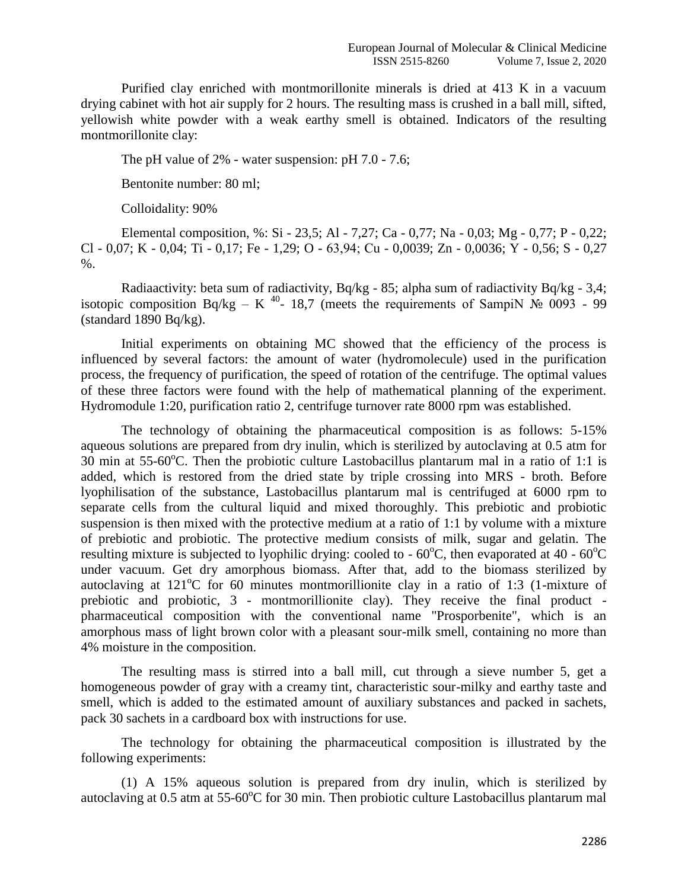Purified clay enriched with montmorillonite minerals is dried at 413 K in a vacuum drying cabinet with hot air supply for 2 hours. The resulting mass is crushed in a ball mill, sifted, yellowish white powder with a weak earthy smell is obtained. Indicators of the resulting montmorillonite clay:

The pH value of 2% - water suspension: pH 7.0 - 7.6;

Bentonite number: 80 ml;

Colloidality: 90%

Elemental composition, %: Si - 23,5; Al - 7,27; Ca - 0,77; Na - 0,03; Mg - 0,77; P - 0,22; Cl - 0,07; K - 0,04; Ti - 0,17; Fe - 1,29; O - 63,94; Сu - 0,0039; Zn - 0,0036; Y - 0,56; S - 0,27 %.

Radiaactivity: beta sum of radiactivity, Bq/kg - 85; alpha sum of radiactivity Bq/kg - 3,4; isotopic composition Bq/kg – K<sup>40</sup>- 18,7 (meets the requirements of SampiN  $\mathcal{N}_2$  0093 - 99  $(\text{standard } 1890 \text{ Bq/kg}).$ 

Initial experiments on obtaining MC showed that the efficiency of the process is influenced by several factors: the amount of water (hydromolecule) used in the purification process, the frequency of purification, the speed of rotation of the centrifuge. The optimal values of these three factors were found with the help of mathematical planning of the experiment. Hydromodule 1:20, purification ratio 2, centrifuge turnover rate 8000 rpm was established.

The technology of obtaining the pharmaceutical composition is as follows: 5-15% aqueous solutions are prepared from dry inulin, which is sterilized by autoclaving at 0.5 atm for 30 min at  $55-60^{\circ}$ C. Then the probiotic culture Lastobacillus plantarum mal in a ratio of 1:1 is added, which is restored from the dried state by triple crossing into MRS - broth. Before lyophilisation of the substance, Lastobacillus plantarum mal is centrifuged at 6000 rpm to separate cells from the cultural liquid and mixed thoroughly. This prebiotic and probiotic suspension is then mixed with the protective medium at a ratio of 1:1 by volume with a mixture of prebiotic and probiotic. The protective medium consists of milk, sugar and gelatin. The resulting mixture is subjected to lyophilic drying: cooled to  $-60^{\circ}$ C, then evaporated at 40 -  $60^{\circ}$ C under vacuum. Get dry amorphous biomass. After that, add to the biomass sterilized by autoclaving at  $121^{\circ}$ C for 60 minutes montmorillionite clay in a ratio of 1:3 (1-mixture of prebiotic and probiotic, 3 - montmorillionite clay). They receive the final product pharmaceutical composition with the conventional name "Prosporbenite", which is an amorphous mass of light brown color with a pleasant sour-milk smell, containing no more than 4% moisture in the composition.

The resulting mass is stirred into a ball mill, cut through a sieve number 5, get a homogeneous powder of gray with a creamy tint, characteristic sour-milky and earthy taste and smell, which is added to the estimated amount of auxiliary substances and packed in sachets, pack 30 sachets in a cardboard box with instructions for use.

The technology for obtaining the pharmaceutical composition is illustrated by the following experiments:

(1) A 15% aqueous solution is prepared from dry inulin, which is sterilized by autoclaving at 0.5 atm at  $55{\text{-}}60^{\circ}C$  for 30 min. Then probiotic culture Lastobacillus plantarum mal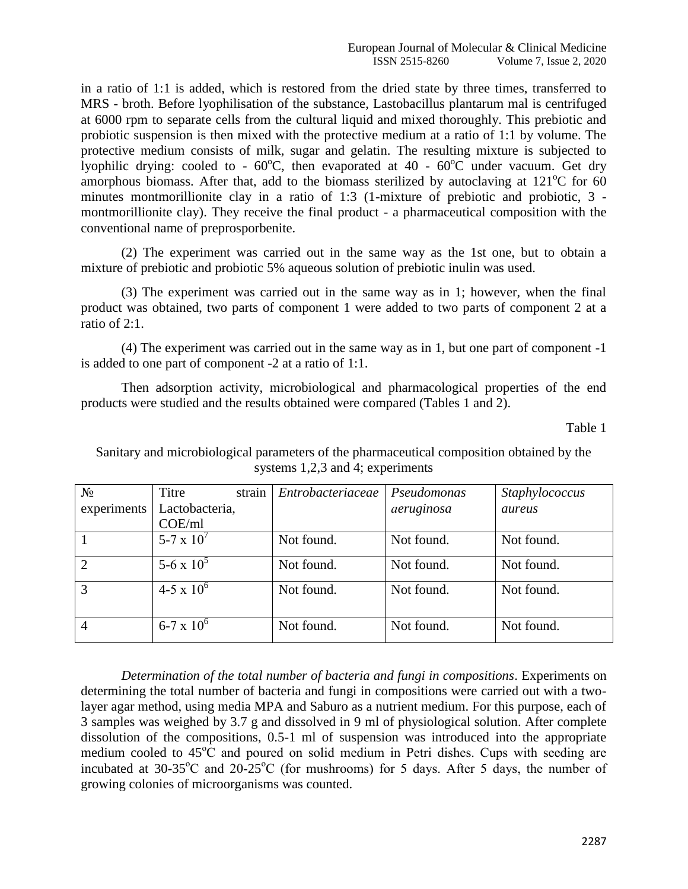in a ratio of 1:1 is added, which is restored from the dried state by three times, transferred to MRS - broth. Before lyophilisation of the substance, Lastobacillus plantarum mal is centrifuged at 6000 rpm to separate cells from the cultural liquid and mixed thoroughly. This prebiotic and probiotic suspension is then mixed with the protective medium at a ratio of 1:1 by volume. The protective medium consists of milk, sugar and gelatin. The resulting mixture is subjected to lyophilic drying: cooled to -  $60^{\circ}$ C, then evaporated at 40 -  $60^{\circ}$ C under vacuum. Get dry amorphous biomass. After that, add to the biomass sterilized by autoclaving at  $121^{\circ}$ C for 60 minutes montmorillionite clay in a ratio of 1:3 (1-mixture of prebiotic and probiotic, 3 montmorillionite clay). They receive the final product - a pharmaceutical composition with the conventional name of preprosporbenite.

(2) The experiment was carried out in the same way as the 1st one, but to obtain a mixture of prebiotic and probiotic 5% aqueous solution of prebiotic inulin was used.

(3) The experiment was carried out in the same way as in 1; however, when the final product was obtained, two parts of component 1 were added to two parts of component 2 at a ratio of 2:1.

(4) The experiment was carried out in the same way as in 1, but one part of component -1 is added to one part of component -2 at a ratio of 1:1.

Then adsorption activity, microbiological and pharmacological properties of the end products were studied and the results obtained were compared (Tables 1 and 2).

Table 1

Sanitary and microbiological parameters of the pharmaceutical composition obtained by the systems 1,2,3 and 4; experiments

| $N_2$          | Titre               | strain | Entrobacteriaceae | Pseudomonas | Staphylococcus |
|----------------|---------------------|--------|-------------------|-------------|----------------|
| experiments    | Lactobacteria,      |        |                   | aeruginosa  | aureus         |
|                | COE/ml              |        |                   |             |                |
|                | 5-7 x $10^{7}$      |        | Not found.        | Not found.  | Not found.     |
| $\overline{2}$ | 5-6 x $10^5$        |        | Not found.        | Not found.  | Not found.     |
| 3              | $4-5 \times 10^{6}$ |        | Not found.        | Not found.  | Not found.     |
| $\overline{4}$ | $6-7 \times 10^{6}$ |        | Not found.        | Not found.  | Not found.     |

*Determination of the total number of bacteria and fungi in compositions*. Experiments on determining the total number of bacteria and fungi in compositions were carried out with a twolayer agar method, using media MPA and Saburo as a nutrient medium. For this purpose, each of 3 samples was weighed by 3.7 g and dissolved in 9 ml of physiological solution. After complete dissolution of the compositions, 0.5-1 ml of suspension was introduced into the appropriate medium cooled to 45<sup>o</sup>C and poured on solid medium in Petri dishes. Cups with seeding are incubated at  $30-35^{\circ}$ C and  $20-25^{\circ}$ C (for mushrooms) for 5 days. After 5 days, the number of growing colonies of microorganisms was counted.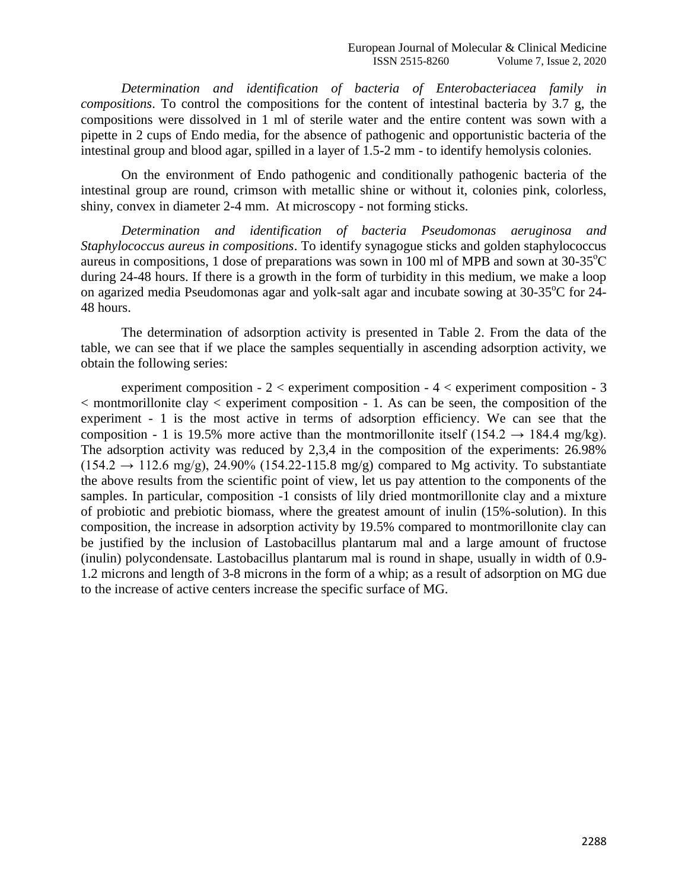*Determination and identification of bacteria of Enterobacteriacea family in compositions*. To control the compositions for the content of intestinal bacteria by 3.7 g, the compositions were dissolved in 1 ml of sterile water and the entire content was sown with a pipette in 2 cups of Endo media, for the absence of pathogenic and opportunistic bacteria of the intestinal group and blood agar, spilled in a layer of 1.5-2 mm - to identify hemolysis colonies.

On the environment of Endo pathogenic and conditionally pathogenic bacteria of the intestinal group are round, crimson with metallic shine or without it, colonies pink, colorless, shiny, convex in diameter 2-4 mm. At microscopy - not forming sticks.

*Determination and identification of bacteria Pseudomonas aeruginosa and Staphylococcus aureus in compositions*. To identify synagogue sticks and golden staphylococcus aureus in compositions, 1 dose of preparations was sown in 100 ml of MPB and sown at  $30\n-35^{\circ}\text{C}$ during 24-48 hours. If there is a growth in the form of turbidity in this medium, we make a loop on agarized media Pseudomonas agar and yolk-salt agar and incubate sowing at  $30-35^{\circ}C$  for 24-48 hours.

The determination of adsorption activity is presented in Table 2. From the data of the table, we can see that if we place the samples sequentially in ascending adsorption activity, we obtain the following series:

experiment composition  $-2 <$  experiment composition  $-4 <$  experiment composition  $-3$  $\leq$  montmorillonite clay  $\leq$  experiment composition - 1. As can be seen, the composition of the experiment - 1 is the most active in terms of adsorption efficiency. We can see that the composition - 1 is 19.5% more active than the montmorillonite itself (154.2  $\rightarrow$  184.4 mg/kg). The adsorption activity was reduced by 2,3,4 in the composition of the experiments: 26.98%  $(154.2 \rightarrow 112.6 \text{ mg/g})$ , 24.90%  $(154.22 \cdot 115.8 \text{ mg/g})$  compared to Mg activity. To substantiate the above results from the scientific point of view, let us pay attention to the components of the samples. In particular, composition -1 consists of lily dried montmorillonite clay and a mixture of probiotic and prebiotic biomass, where the greatest amount of inulin (15%-solution). In this composition, the increase in adsorption activity by 19.5% compared to montmorillonite clay can be justified by the inclusion of Lastobacillus plantarum mal and a large amount of fructose (inulin) polycondensate. Lastobacillus plantarum mal is round in shape, usually in width of 0.9- 1.2 microns and length of 3-8 microns in the form of a whip; as a result of adsorption on MG due to the increase of active centers increase the specific surface of MG.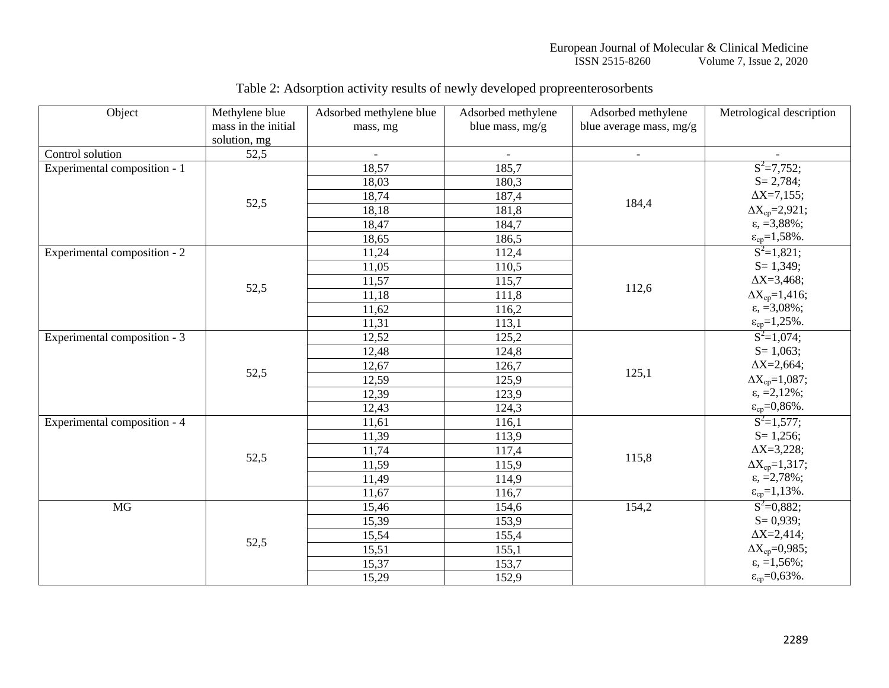#### European Journal of Molecular & Clinical Medicine ISSN 2515-8260 Volume 7, Issue 2, 2020

| Object                       | Methylene blue      | Adsorbed methylene blue | Adsorbed methylene | Adsorbed methylene      | Metrological description      |
|------------------------------|---------------------|-------------------------|--------------------|-------------------------|-------------------------------|
|                              | mass in the initial | mass, mg                | blue mass, mg/g    | blue average mass, mg/g |                               |
|                              | solution, mg        |                         |                    |                         |                               |
| Control solution             | 52,5                |                         |                    | $\blacksquare$          |                               |
| Experimental composition - 1 | 52,5                | 18,57                   | 185,7              |                         | $S^2 = 7,752;$                |
|                              |                     | 18,03                   | 180,3              | 184,4                   | $S = 2,784;$                  |
|                              |                     | 18,74                   | 187,4              |                         | $\Delta X = 7,155;$           |
|                              |                     | 18,18                   | 181,8              |                         | $\Delta X_{cp} = 2,921;$      |
|                              |                     | 18,47                   | 184,7              |                         | $\varepsilon$ , =3,88%;       |
|                              |                     | 18,65                   | 186,5              |                         | $\varepsilon_{cp} = 1,58\%$ . |
| Experimental composition - 2 | 52,5                | 11,24                   | 112,4              | 112,6                   | $S^2=1,821;$                  |
|                              |                     | 11,05                   | 110,5              |                         | $S = 1,349;$                  |
|                              |                     | 11,57                   | 115,7              |                         | $\Delta X = 3,468;$           |
|                              |                     | 11,18                   | 111,8              |                         | $\Delta X_{cp} = 1,416;$      |
|                              |                     | 11,62                   | 116,2              |                         | $\varepsilon$ , =3,08%;       |
|                              |                     | 11,31                   | 113,1              |                         | $\varepsilon_{cp} = 1,25\%$ . |
| Experimental composition - 3 | 52,5                | 12,52                   | 125,2              | 125,1                   | $S^2=1,074;$                  |
|                              |                     | 12,48                   | 124,8              |                         | $S = 1,063;$                  |
|                              |                     | 12,67                   | 126,7              |                         | $\Delta X = 2,664;$           |
|                              |                     | 12,59                   | 125,9              |                         | $\Delta X_{cp} = 1,087;$      |
|                              |                     | 12,39                   | 123,9              |                         | $\varepsilon$ , =2,12%;       |
|                              |                     | 12,43                   | 124,3              |                         | $\varepsilon_{cp} = 0.86\%$ . |
| Experimental composition - 4 | 52,5                | 11,61                   | 116,1              | 115,8                   | $S^2=1,577$ ;                 |
|                              |                     | 11,39                   | 113,9              |                         | $S = 1,256;$                  |
|                              |                     | 11,74                   | 117,4              |                         | $\Delta X = 3,228;$           |
|                              |                     | 11,59                   | 115,9              |                         | $\Delta X_{cp} = 1,317;$      |
|                              |                     | 11,49                   | 114,9              |                         | $\varepsilon$ , $=$ 2,78%;    |
|                              |                     | 11,67                   | 116,7              |                         | $\varepsilon_{cp} = 1,13\%$ . |
| $\overline{MG}$              | 52,5                | 15,46                   | 154,6              | 154,2                   | $S^2=0,882;$                  |
|                              |                     | 15,39                   | 153,9              |                         | $S = 0,939;$                  |
|                              |                     | 15,54                   | 155,4              |                         | $\Delta X = 2,414;$           |
|                              |                     | 15,51                   | 155,1              |                         | $\Delta X_{cp} = 0.985;$      |
|                              |                     | 15,37                   | 153,7              |                         | $\varepsilon$ , =1,56%;       |
|                              |                     | 15,29                   | 152,9              |                         | $\varepsilon_{cp} = 0,63\%$ . |

# Table 2: Adsorption activity results of newly developed propreenterosorbents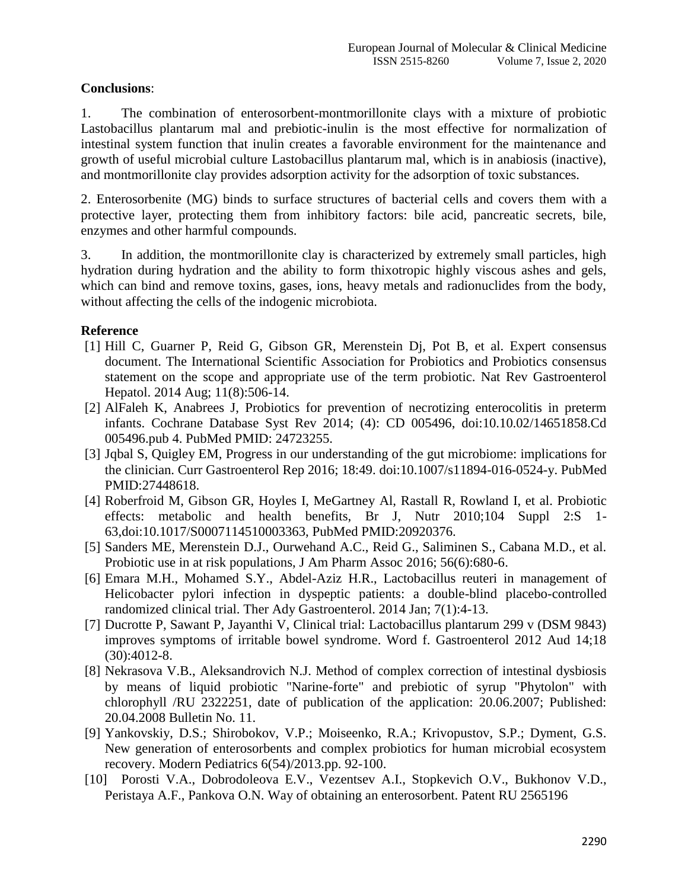### **Conclusions**:

1. The combination of enterosorbent-montmorillonite clays with a mixture of probiotic Lastobacillus plantarum mal and prebiotic-inulin is the most effective for normalization of intestinal system function that inulin creates a favorable environment for the maintenance and growth of useful microbial culture Lastobacillus plantarum mal, which is in anabiosis (inactive), and montmorillonite clay provides adsorption activity for the adsorption of toxic substances.

2. Enterosorbenite (MG) binds to surface structures of bacterial cells and covers them with a protective layer, protecting them from inhibitory factors: bile acid, pancreatic secrets, bile, enzymes and other harmful compounds.

3. In addition, the montmorillonite clay is characterized by extremely small particles, high hydration during hydration and the ability to form thixotropic highly viscous ashes and gels, which can bind and remove toxins, gases, ions, heavy metals and radionuclides from the body, without affecting the cells of the indogenic microbiota.

## **Reference**

- [1] Hill C, Guarner P, Reid G, Gibson GR, Merenstein Dj, Pot B, et al. Expert consensus document. The International Scientific Association for Probiotics and Probiotics consensus statement on the scope and appropriate use of the term probiotic. Nat Rev Gastroenterol Hepatol. 2014 Aug; 11(8):506-14.
- [2] AlFaleh K, Anabrees J, Probiotics for prevention of necrotizing enterocolitis in preterm infants. Cochrane Database Syst Rev 2014; (4): CD 005496, doi:10.10.02/14651858.Cd 005496.pub 4. PubMed PMID: 24723255.
- [3] Jqbal S, Quigley EM, Progress in our understanding of the gut microbiome: implications for the clinician. Curr Gastroenterol Rep 2016; 18:49. doi:10.1007/s11894-016-0524-y. PubMed PMID:27448618.
- [4] Roberfroid M, Gibson GR, Hoyles I, MeGartney Al, Rastall R, Rowland I, et al. Probiotic effects: metabolic and health benefits, Br J, Nutr 2010;104 Suppl 2:S 1- 63,doi:10.1017/S0007114510003363, PubMed PMID:20920376.
- [5] Sanders ME, Merenstein D.J., Ourwehand A.C., Reid G., Saliminen S., Cabana M.D., et al. Probiotic use in at risk populations, J Am Pharm Assoc 2016; 56(6):680-6.
- [6] Emara M.H., Mohamed S.Y., Abdel-Aziz H.R., Lactobacillus reuteri in management of Helicobacter pylori infection in dyspeptic patients: a double-blind placebo-controlled randomized clinical trial. Ther Ady Gastroenterol. 2014 Jan; 7(1):4-13.
- [7] Ducrotte P, Sawant P, Jayanthi V, Clinical trial: Lactobacillus plantarum 299 v (DSM 9843) improves symptoms of irritable bowel syndrome. Word f. Gastroenterol 2012 Aud 14;18 (30):4012-8.
- [8] Nekrasova V.B., Aleksandrovich N.J. Method of complex correction of intestinal dysbiosis by means of liquid probiotic "Narine-forte" and prebiotic of syrup "Phytolon" with chlorophyll /RU 2322251, date of publication of the application: 20.06.2007; Published: 20.04.2008 Bulletin No. 11.
- [9] Yankovskiy, D.S.; Shirobokov, V.P.; Moiseenko, R.A.; Krivopustov, S.P.; Dyment, G.S. New generation of enterosorbents and complex probiotics for human microbial ecosystem recovery. Modern Pediatrics 6(54)/2013.pp. 92-100.
- [10] Porosti V.A., Dobrodoleova E.V., Vezentsev A.I., Stopkevich O.V., Bukhonov V.D., Peristaya A.F., Pankova O.N. Way of obtaining an enterosorbent. Patent RU 2565196